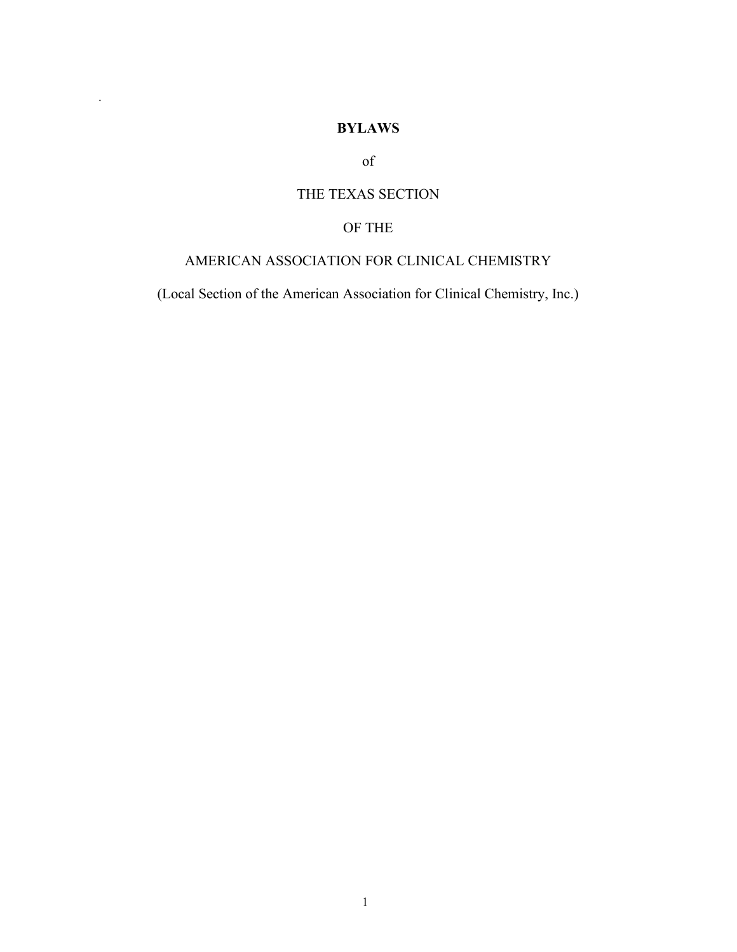# **BYLAWS**

.

of

# THE TEXAS SECTION

# OF THE

# AMERICAN ASSOCIATION FOR CLINICAL CHEMISTRY

(Local Section of the American Association for Clinical Chemistry, Inc.)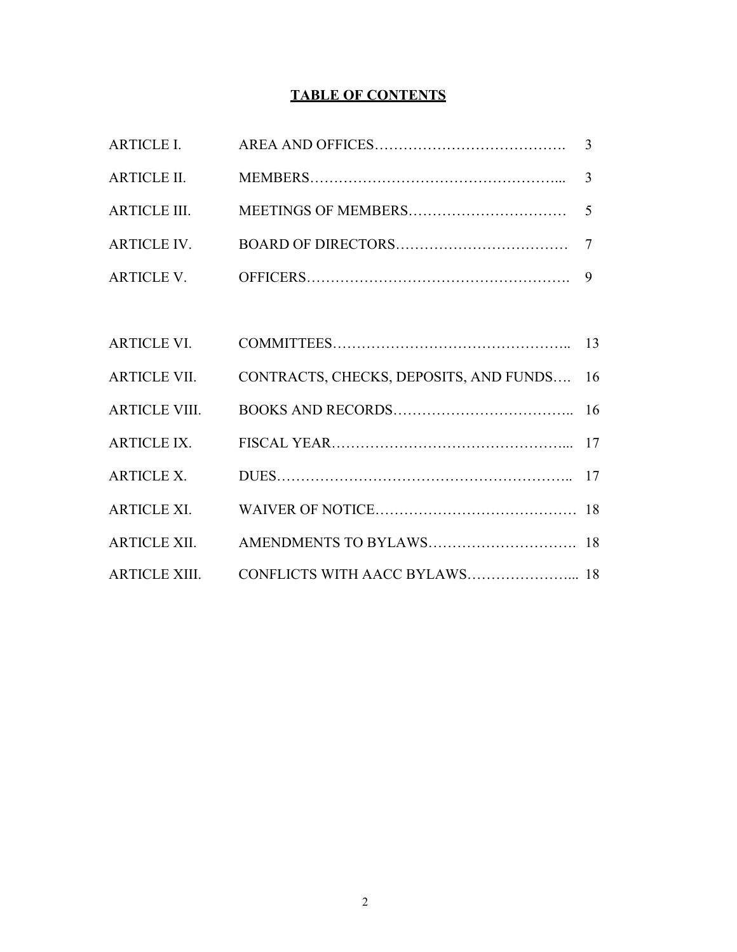# **TABLE OF CONTENTS**

| ARTICLE VII. CONTRACTS, CHECKS, DEPOSITS, AND FUNDS 16 |  |
|--------------------------------------------------------|--|
|                                                        |  |
|                                                        |  |
|                                                        |  |
|                                                        |  |
|                                                        |  |
|                                                        |  |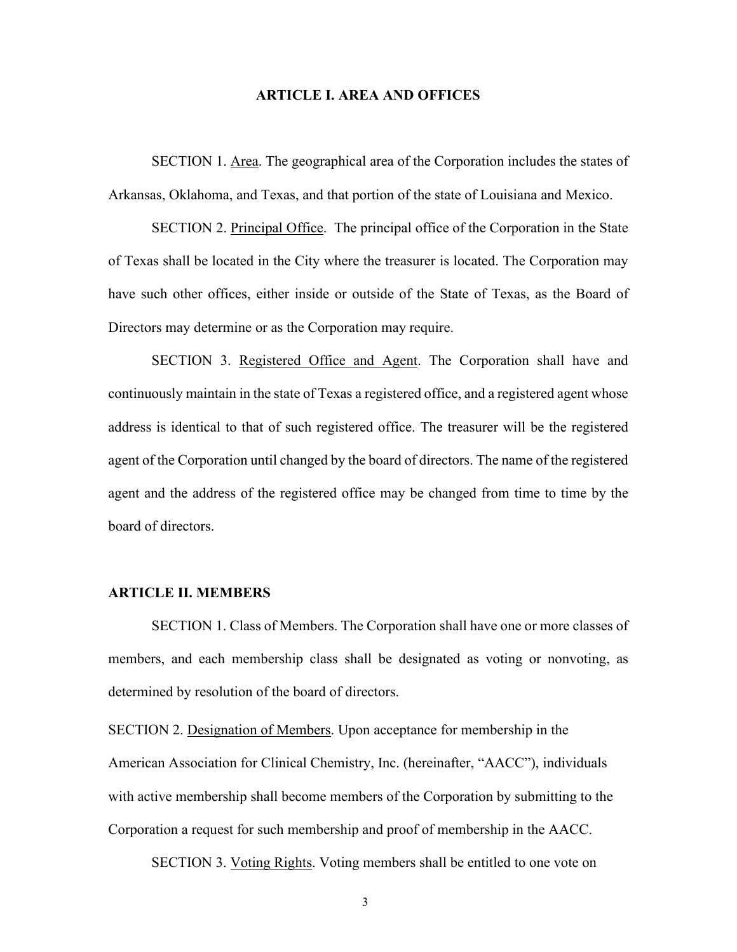### **ARTICLE I. AREA AND OFFICES**

SECTION 1. Area. The geographical area of the Corporation includes the states of Arkansas, Oklahoma, and Texas, and that portion of the state of Louisiana and Mexico.

SECTION 2. Principal Office. The principal office of the Corporation in the State of Texas shall be located in the City where the treasurer is located. The Corporation may have such other offices, either inside or outside of the State of Texas, as the Board of Directors may determine or as the Corporation may require.

SECTION 3. Registered Office and Agent. The Corporation shall have and continuously maintain in the state of Texas a registered office, and a registered agent whose address is identical to that of such registered office. The treasurer will be the registered agent of the Corporation until changed by the board of directors. The name of the registered agent and the address of the registered office may be changed from time to time by the board of directors.

### **ARTICLE II. MEMBERS**

SECTION 1. Class of Members. The Corporation shall have one or more classes of members, and each membership class shall be designated as voting or nonvoting, as determined by resolution of the board of directors.

SECTION 2. Designation of Members. Upon acceptance for membership in the American Association for Clinical Chemistry, Inc. (hereinafter, "AACC"), individuals with active membership shall become members of the Corporation by submitting to the Corporation a request for such membership and proof of membership in the AACC.

SECTION 3. Voting Rights. Voting members shall be entitled to one vote on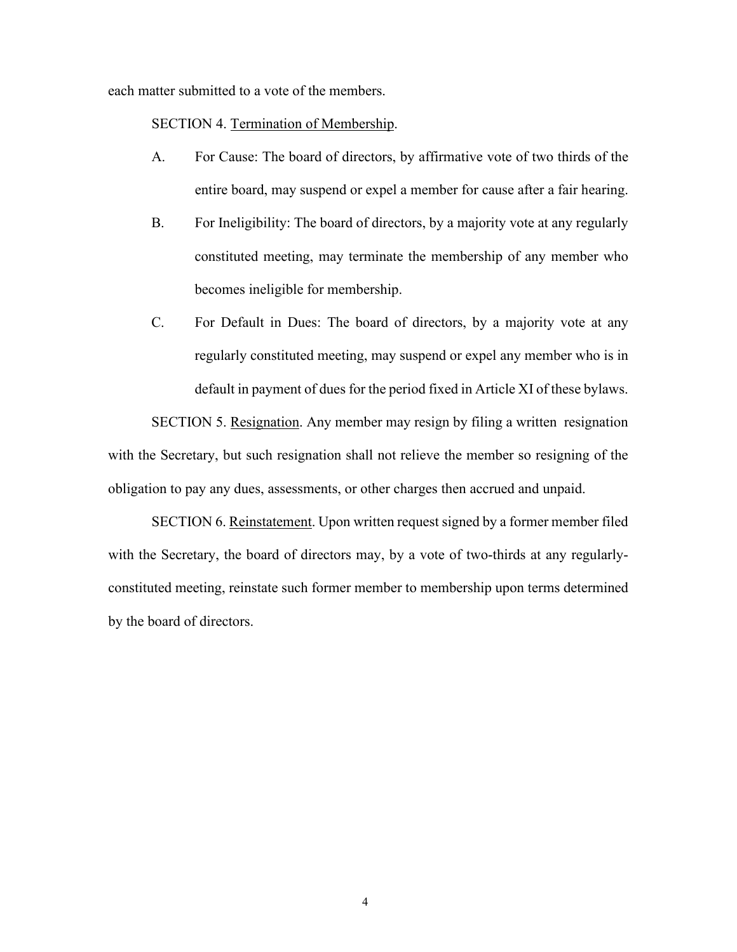each matter submitted to a vote of the members.

SECTION 4. Termination of Membership.

- A. For Cause: The board of directors, by affirmative vote of two thirds of the entire board, may suspend or expel a member for cause after a fair hearing.
- B. For Ineligibility: The board of directors, by a majority vote at any regularly constituted meeting, may terminate the membership of any member who becomes ineligible for membership.
- C. For Default in Dues: The board of directors, by a majority vote at any regularly constituted meeting, may suspend or expel any member who is in default in payment of dues for the period fixed in Article XI of these bylaws.

SECTION 5. Resignation. Any member may resign by filing a written resignation with the Secretary, but such resignation shall not relieve the member so resigning of the obligation to pay any dues, assessments, or other charges then accrued and unpaid.

SECTION 6. Reinstatement. Upon written request signed by a former member filed with the Secretary, the board of directors may, by a vote of two-thirds at any regularlyconstituted meeting, reinstate such former member to membership upon terms determined by the board of directors.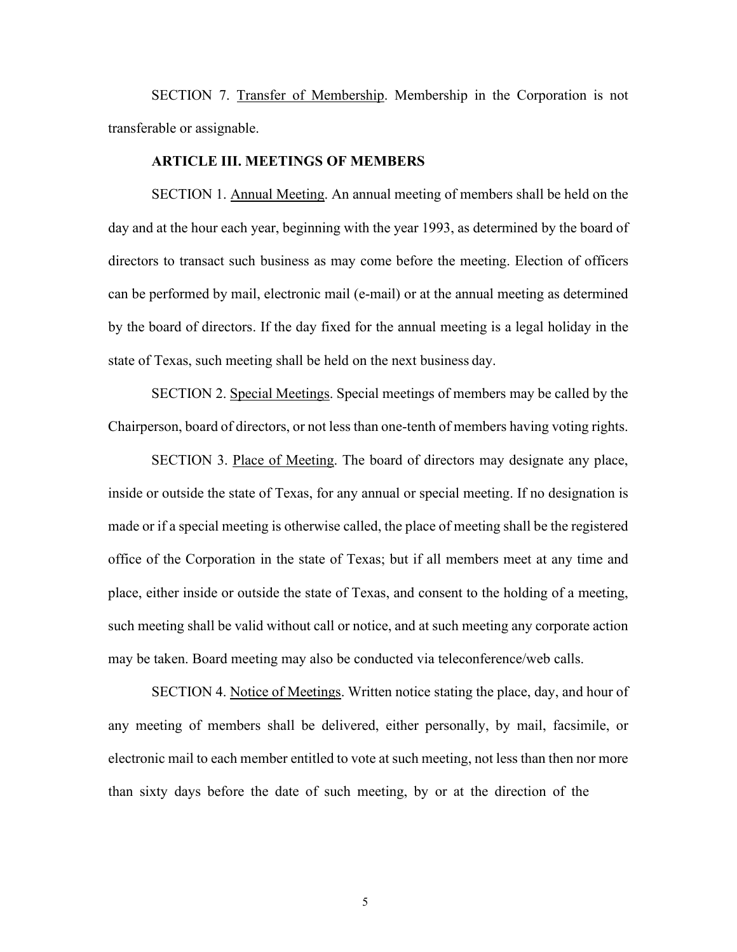SECTION 7. Transfer of Membership. Membership in the Corporation is not transferable or assignable.

## **ARTICLE III. MEETINGS OF MEMBERS**

SECTION 1. Annual Meeting. An annual meeting of members shall be held on the day and at the hour each year, beginning with the year 1993, as determined by the board of directors to transact such business as may come before the meeting. Election of officers can be performed by mail, electronic mail (e-mail) or at the annual meeting as determined by the board of directors. If the day fixed for the annual meeting is a legal holiday in the state of Texas, such meeting shall be held on the next business day.

SECTION 2. Special Meetings. Special meetings of members may be called by the Chairperson, board of directors, or not less than one-tenth of members having voting rights.

SECTION 3. Place of Meeting. The board of directors may designate any place, inside or outside the state of Texas, for any annual or special meeting. If no designation is made or if a special meeting is otherwise called, the place of meeting shall be the registered office of the Corporation in the state of Texas; but if all members meet at any time and place, either inside or outside the state of Texas, and consent to the holding of a meeting, such meeting shall be valid without call or notice, and at such meeting any corporate action may be taken. Board meeting may also be conducted via teleconference/web calls.

SECTION 4. Notice of Meetings. Written notice stating the place, day, and hour of any meeting of members shall be delivered, either personally, by mail, facsimile, or electronic mail to each member entitled to vote at such meeting, not less than then nor more than sixty days before the date of such meeting, by or at the direction of the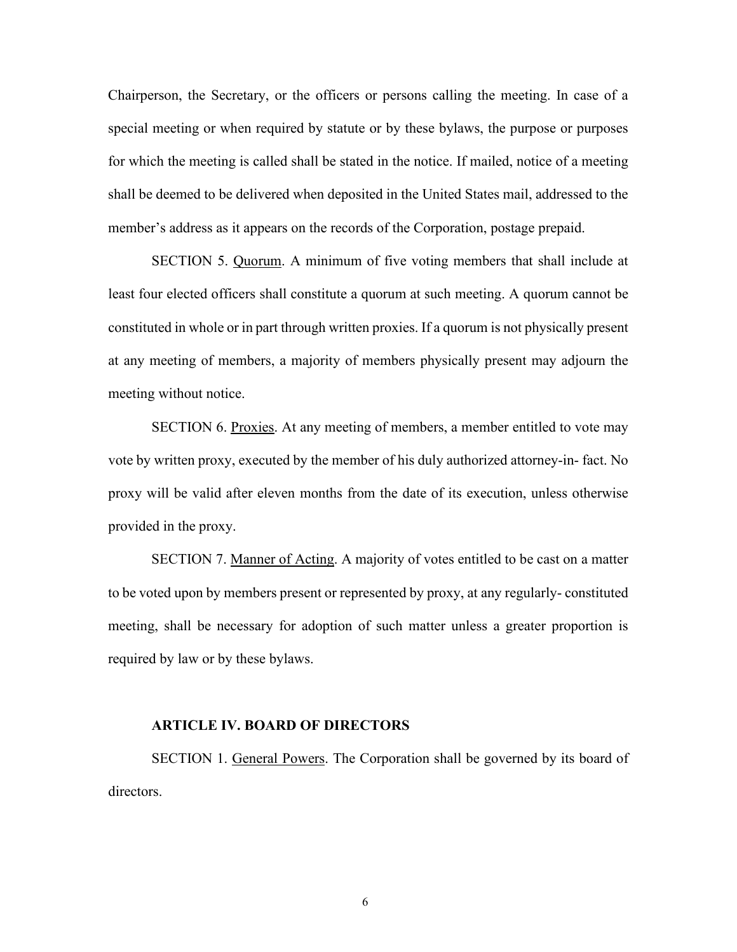Chairperson, the Secretary, or the officers or persons calling the meeting. In case of a special meeting or when required by statute or by these bylaws, the purpose or purposes for which the meeting is called shall be stated in the notice. If mailed, notice of a meeting shall be deemed to be delivered when deposited in the United States mail, addressed to the member's address as it appears on the records of the Corporation, postage prepaid.

SECTION 5. Quorum. A minimum of five voting members that shall include at least four elected officers shall constitute a quorum at such meeting. A quorum cannot be constituted in whole or in part through written proxies. If a quorum is not physically present at any meeting of members, a majority of members physically present may adjourn the meeting without notice.

SECTION 6. Proxies. At any meeting of members, a member entitled to vote may vote by written proxy, executed by the member of his duly authorized attorney-in- fact. No proxy will be valid after eleven months from the date of its execution, unless otherwise provided in the proxy.

SECTION 7. Manner of Acting. A majority of votes entitled to be cast on a matter to be voted upon by members present or represented by proxy, at any regularly- constituted meeting, shall be necessary for adoption of such matter unless a greater proportion is required by law or by these bylaws.

### **ARTICLE IV. BOARD OF DIRECTORS**

SECTION 1. General Powers. The Corporation shall be governed by its board of directors.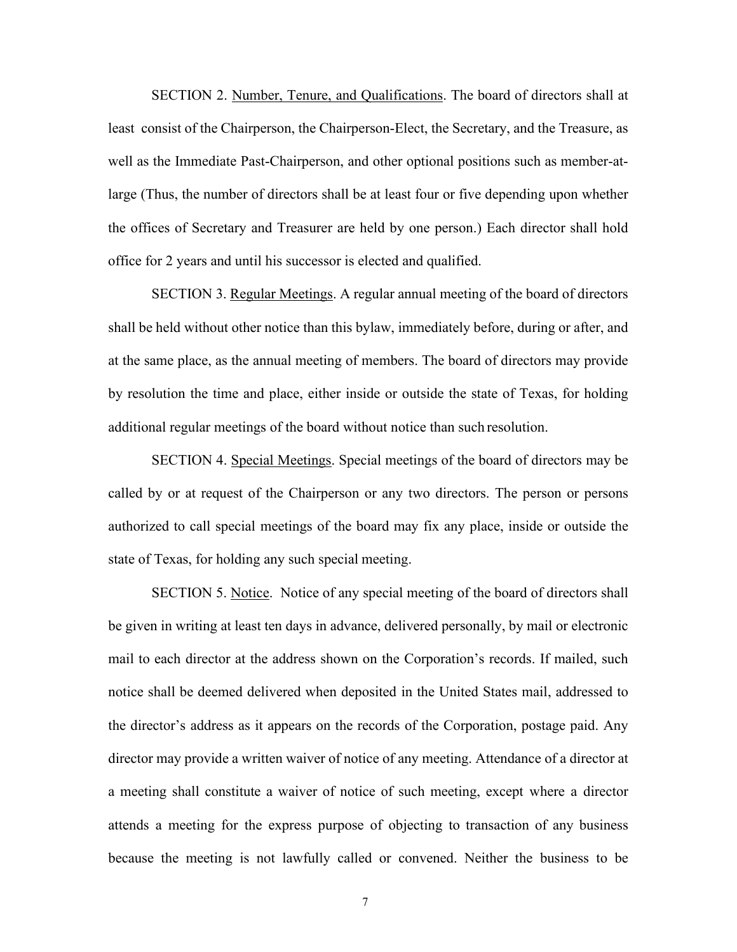SECTION 2. Number, Tenure, and Qualifications. The board of directors shall at least consist of the Chairperson, the Chairperson-Elect, the Secretary, and the Treasure, as well as the Immediate Past-Chairperson, and other optional positions such as member-atlarge (Thus, the number of directors shall be at least four or five depending upon whether the offices of Secretary and Treasurer are held by one person.) Each director shall hold office for 2 years and until his successor is elected and qualified.

SECTION 3. Regular Meetings. A regular annual meeting of the board of directors shall be held without other notice than this bylaw, immediately before, during or after, and at the same place, as the annual meeting of members. The board of directors may provide by resolution the time and place, either inside or outside the state of Texas, for holding additional regular meetings of the board without notice than such resolution.

SECTION 4. Special Meetings. Special meetings of the board of directors may be called by or at request of the Chairperson or any two directors. The person or persons authorized to call special meetings of the board may fix any place, inside or outside the state of Texas, for holding any such special meeting.

SECTION 5. Notice. Notice of any special meeting of the board of directors shall be given in writing at least ten days in advance, delivered personally, by mail or electronic mail to each director at the address shown on the Corporation's records. If mailed, such notice shall be deemed delivered when deposited in the United States mail, addressed to the director's address as it appears on the records of the Corporation, postage paid. Any director may provide a written waiver of notice of any meeting. Attendance of a director at a meeting shall constitute a waiver of notice of such meeting, except where a director attends a meeting for the express purpose of objecting to transaction of any business because the meeting is not lawfully called or convened. Neither the business to be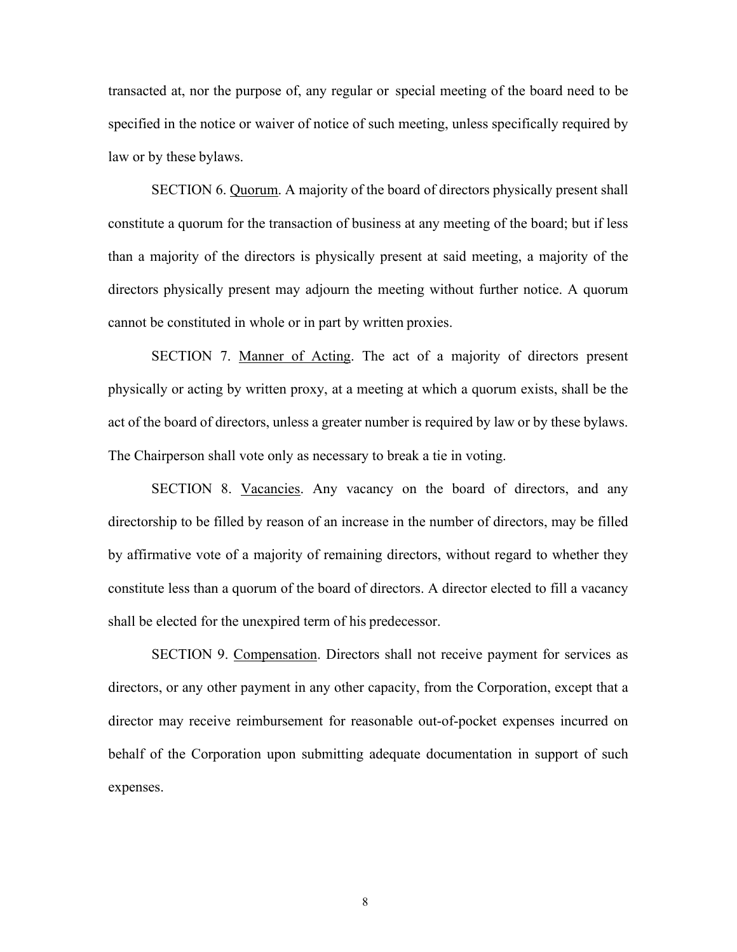transacted at, nor the purpose of, any regular or special meeting of the board need to be specified in the notice or waiver of notice of such meeting, unless specifically required by law or by these bylaws.

SECTION 6. Quorum. A majority of the board of directors physically present shall constitute a quorum for the transaction of business at any meeting of the board; but if less than a majority of the directors is physically present at said meeting, a majority of the directors physically present may adjourn the meeting without further notice. A quorum cannot be constituted in whole or in part by written proxies.

SECTION 7. Manner of Acting. The act of a majority of directors present physically or acting by written proxy, at a meeting at which a quorum exists, shall be the act of the board of directors, unless a greater number is required by law or by these bylaws. The Chairperson shall vote only as necessary to break a tie in voting.

SECTION 8. Vacancies. Any vacancy on the board of directors, and any directorship to be filled by reason of an increase in the number of directors, may be filled by affirmative vote of a majority of remaining directors, without regard to whether they constitute less than a quorum of the board of directors. A director elected to fill a vacancy shall be elected for the unexpired term of his predecessor.

SECTION 9. Compensation. Directors shall not receive payment for services as directors, or any other payment in any other capacity, from the Corporation, except that a director may receive reimbursement for reasonable out-of-pocket expenses incurred on behalf of the Corporation upon submitting adequate documentation in support of such expenses.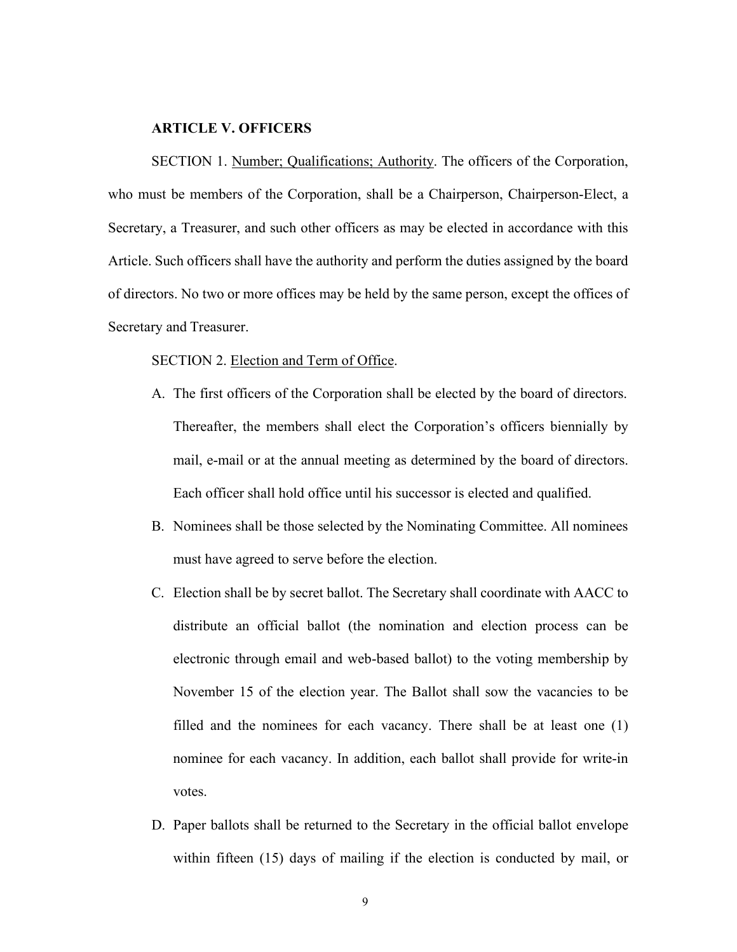### **ARTICLE V. OFFICERS**

SECTION 1. Number; Qualifications; Authority. The officers of the Corporation, who must be members of the Corporation, shall be a Chairperson, Chairperson-Elect, a Secretary, a Treasurer, and such other officers as may be elected in accordance with this Article. Such officers shall have the authority and perform the duties assigned by the board of directors. No two or more offices may be held by the same person, except the offices of Secretary and Treasurer.

#### SECTION 2. Election and Term of Office.

- A. The first officers of the Corporation shall be elected by the board of directors. Thereafter, the members shall elect the Corporation's officers biennially by mail, e-mail or at the annual meeting as determined by the board of directors. Each officer shall hold office until his successor is elected and qualified.
- B. Nominees shall be those selected by the Nominating Committee. All nominees must have agreed to serve before the election.
- C. Election shall be by secret ballot. The Secretary shall coordinate with AACC to distribute an official ballot (the nomination and election process can be electronic through email and web-based ballot) to the voting membership by November 15 of the election year. The Ballot shall sow the vacancies to be filled and the nominees for each vacancy. There shall be at least one (1) nominee for each vacancy. In addition, each ballot shall provide for write-in votes.
- D. Paper ballots shall be returned to the Secretary in the official ballot envelope within fifteen (15) days of mailing if the election is conducted by mail, or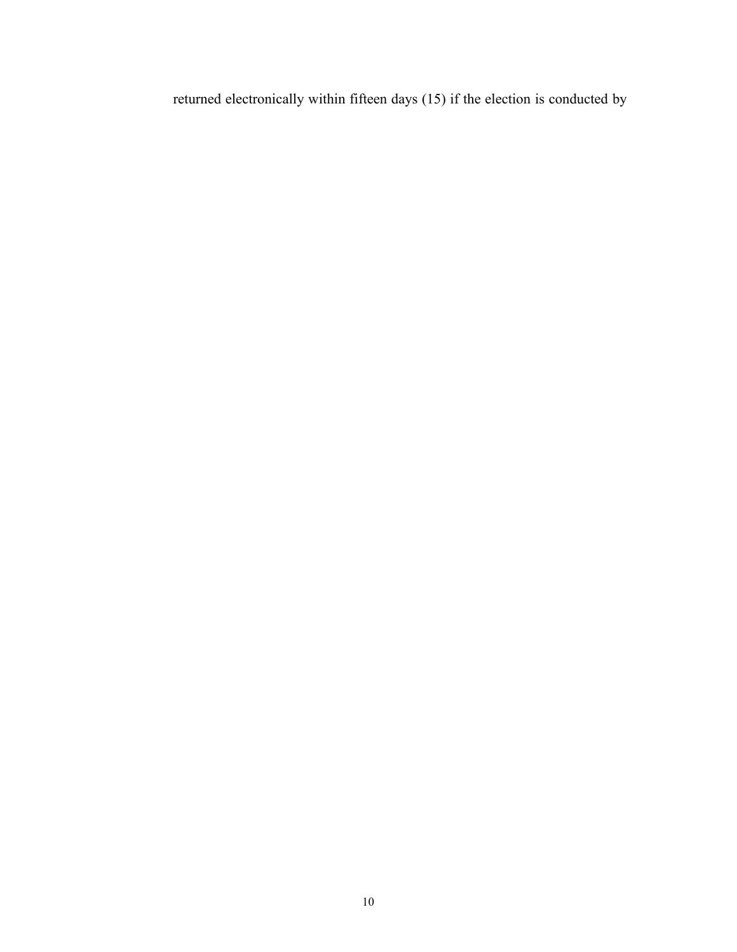returned electronically within fifteen days (15) if the election is conducted by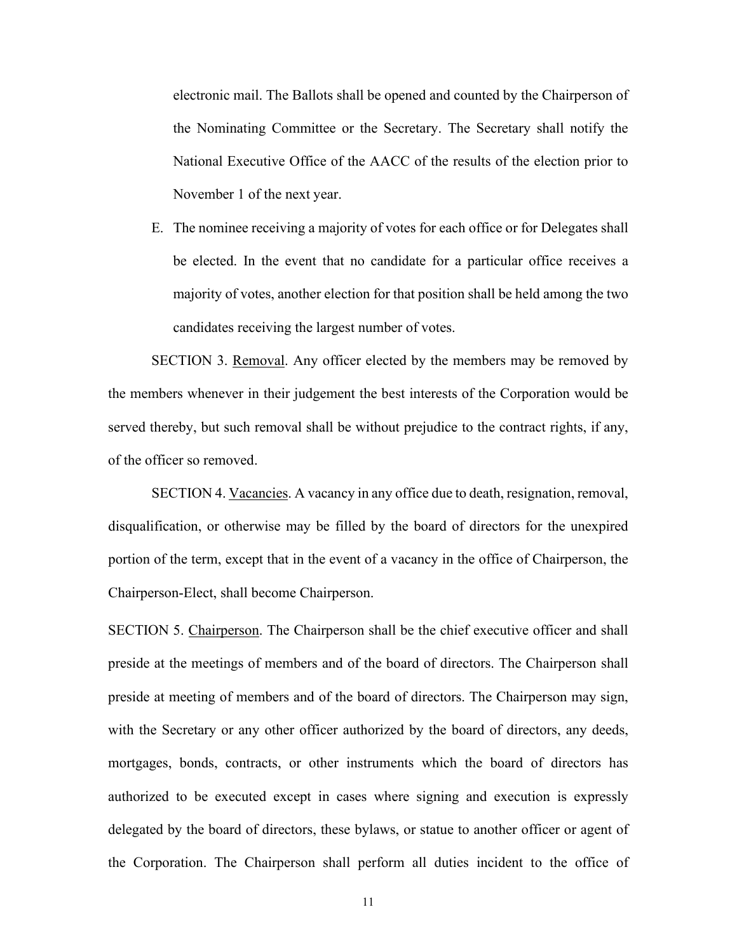electronic mail. The Ballots shall be opened and counted by the Chairperson of the Nominating Committee or the Secretary. The Secretary shall notify the National Executive Office of the AACC of the results of the election prior to November 1 of the next year.

E. The nominee receiving a majority of votes for each office or for Delegates shall be elected. In the event that no candidate for a particular office receives a majority of votes, another election for that position shall be held among the two candidates receiving the largest number of votes.

SECTION 3. Removal. Any officer elected by the members may be removed by the members whenever in their judgement the best interests of the Corporation would be served thereby, but such removal shall be without prejudice to the contract rights, if any, of the officer so removed.

SECTION 4. Vacancies. A vacancy in any office due to death, resignation, removal, disqualification, or otherwise may be filled by the board of directors for the unexpired portion of the term, except that in the event of a vacancy in the office of Chairperson, the Chairperson-Elect, shall become Chairperson.

SECTION 5. Chairperson. The Chairperson shall be the chief executive officer and shall preside at the meetings of members and of the board of directors. The Chairperson shall preside at meeting of members and of the board of directors. The Chairperson may sign, with the Secretary or any other officer authorized by the board of directors, any deeds, mortgages, bonds, contracts, or other instruments which the board of directors has authorized to be executed except in cases where signing and execution is expressly delegated by the board of directors, these bylaws, or statue to another officer or agent of the Corporation. The Chairperson shall perform all duties incident to the office of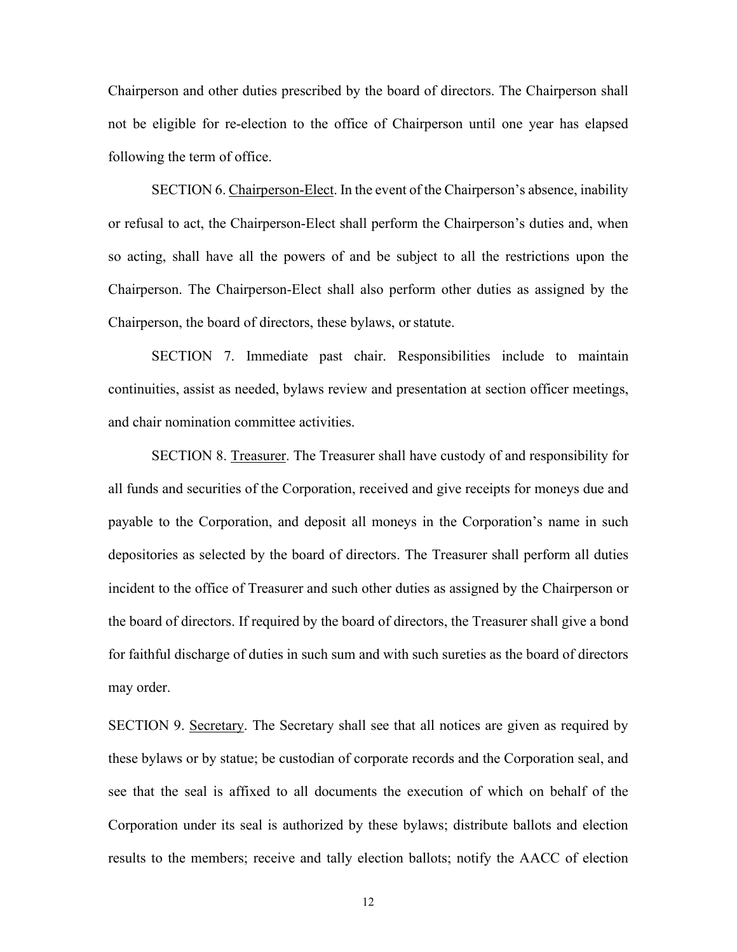Chairperson and other duties prescribed by the board of directors. The Chairperson shall not be eligible for re-election to the office of Chairperson until one year has elapsed following the term of office.

SECTION 6. Chairperson-Elect. In the event of the Chairperson's absence, inability or refusal to act, the Chairperson-Elect shall perform the Chairperson's duties and, when so acting, shall have all the powers of and be subject to all the restrictions upon the Chairperson. The Chairperson-Elect shall also perform other duties as assigned by the Chairperson, the board of directors, these bylaws, or statute.

SECTION 7. Immediate past chair. Responsibilities include to maintain continuities, assist as needed, bylaws review and presentation at section officer meetings, and chair nomination committee activities.

SECTION 8. Treasurer. The Treasurer shall have custody of and responsibility for all funds and securities of the Corporation, received and give receipts for moneys due and payable to the Corporation, and deposit all moneys in the Corporation's name in such depositories as selected by the board of directors. The Treasurer shall perform all duties incident to the office of Treasurer and such other duties as assigned by the Chairperson or the board of directors. If required by the board of directors, the Treasurer shall give a bond for faithful discharge of duties in such sum and with such sureties as the board of directors may order.

SECTION 9. Secretary. The Secretary shall see that all notices are given as required by these bylaws or by statue; be custodian of corporate records and the Corporation seal, and see that the seal is affixed to all documents the execution of which on behalf of the Corporation under its seal is authorized by these bylaws; distribute ballots and election results to the members; receive and tally election ballots; notify the AACC of election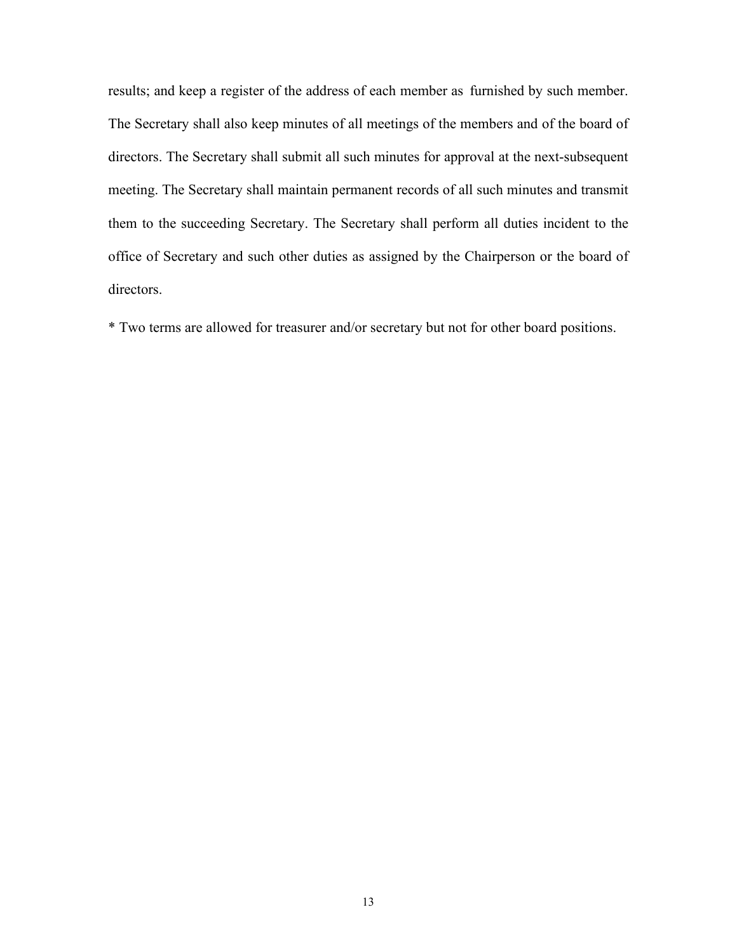results; and keep a register of the address of each member as furnished by such member. The Secretary shall also keep minutes of all meetings of the members and of the board of directors. The Secretary shall submit all such minutes for approval at the next-subsequent meeting. The Secretary shall maintain permanent records of all such minutes and transmit them to the succeeding Secretary. The Secretary shall perform all duties incident to the office of Secretary and such other duties as assigned by the Chairperson or the board of directors.

\* Two terms are allowed for treasurer and/or secretary but not for other board positions.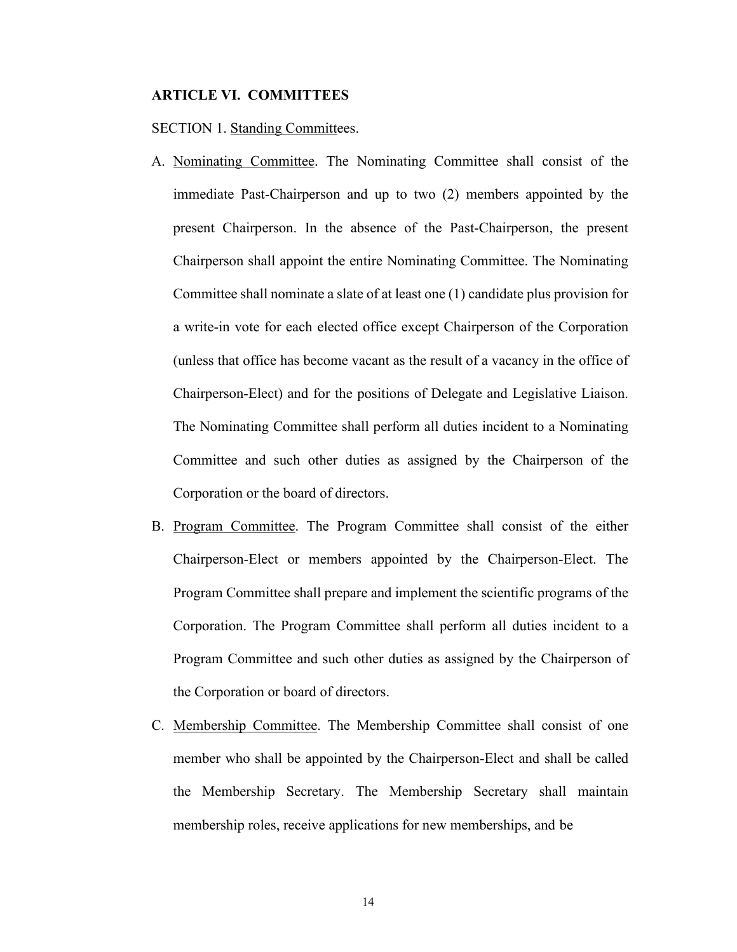### **ARTICLE VI. COMMITTEES**

SECTION 1. Standing Committees.

- A. Nominating Committee. The Nominating Committee shall consist of the immediate Past-Chairperson and up to two (2) members appointed by the present Chairperson. In the absence of the Past-Chairperson, the present Chairperson shall appoint the entire Nominating Committee. The Nominating Committee shall nominate a slate of at least one (1) candidate plus provision for a write-in vote for each elected office except Chairperson of the Corporation (unless that office has become vacant as the result of a vacancy in the office of Chairperson-Elect) and for the positions of Delegate and Legislative Liaison. The Nominating Committee shall perform all duties incident to a Nominating Committee and such other duties as assigned by the Chairperson of the Corporation or the board of directors.
- B. Program Committee. The Program Committee shall consist of the either Chairperson-Elect or members appointed by the Chairperson-Elect. The Program Committee shall prepare and implement the scientific programs of the Corporation. The Program Committee shall perform all duties incident to a Program Committee and such other duties as assigned by the Chairperson of the Corporation or board of directors.
- C. Membership Committee. The Membership Committee shall consist of one member who shall be appointed by the Chairperson-Elect and shall be called the Membership Secretary. The Membership Secretary shall maintain membership roles, receive applications for new memberships, and be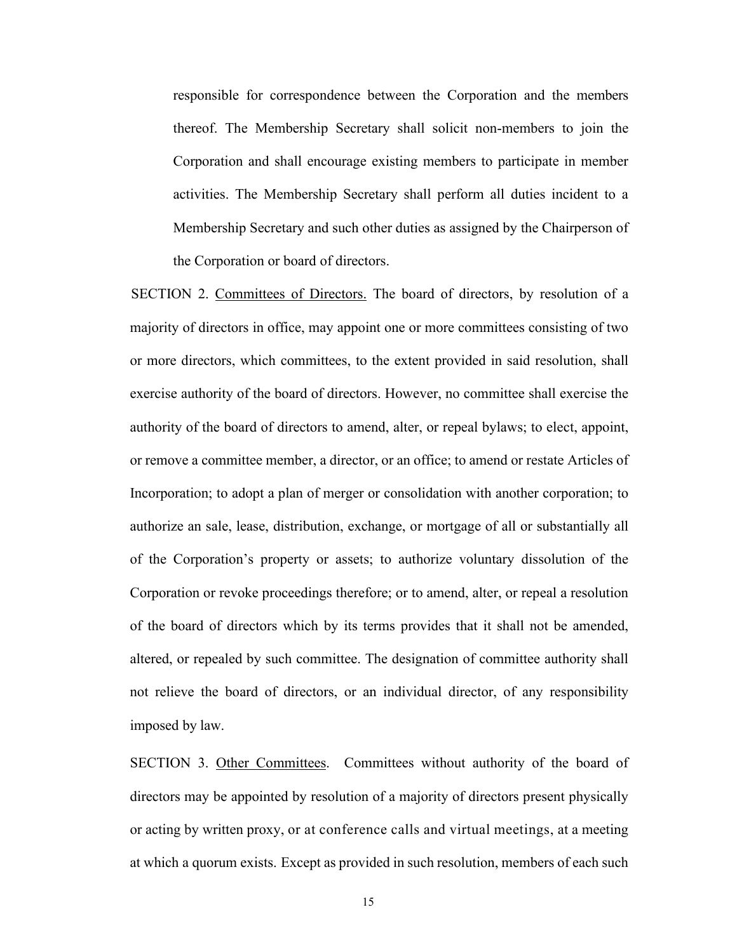responsible for correspondence between the Corporation and the members thereof. The Membership Secretary shall solicit non-members to join the Corporation and shall encourage existing members to participate in member activities. The Membership Secretary shall perform all duties incident to a Membership Secretary and such other duties as assigned by the Chairperson of the Corporation or board of directors.

SECTION 2. Committees of Directors. The board of directors, by resolution of a majority of directors in office, may appoint one or more committees consisting of two or more directors, which committees, to the extent provided in said resolution, shall exercise authority of the board of directors. However, no committee shall exercise the authority of the board of directors to amend, alter, or repeal bylaws; to elect, appoint, or remove a committee member, a director, or an office; to amend or restate Articles of Incorporation; to adopt a plan of merger or consolidation with another corporation; to authorize an sale, lease, distribution, exchange, or mortgage of all or substantially all of the Corporation's property or assets; to authorize voluntary dissolution of the Corporation or revoke proceedings therefore; or to amend, alter, or repeal a resolution of the board of directors which by its terms provides that it shall not be amended, altered, or repealed by such committee. The designation of committee authority shall not relieve the board of directors, or an individual director, of any responsibility imposed by law.

SECTION 3. Other Committees. Committees without authority of the board of directors may be appointed by resolution of a majority of directors present physically or acting by written proxy, or at conference calls and virtual meetings, at a meeting at which a quorum exists. Except as provided in such resolution, members of each such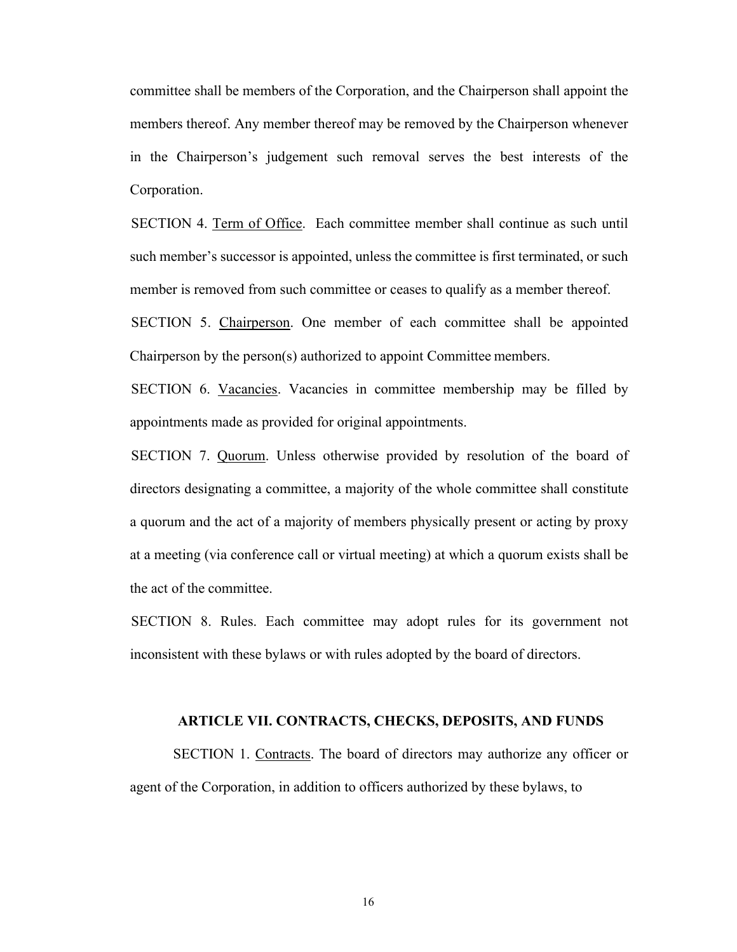committee shall be members of the Corporation, and the Chairperson shall appoint the members thereof. Any member thereof may be removed by the Chairperson whenever in the Chairperson's judgement such removal serves the best interests of the Corporation.

SECTION 4. Term of Office. Each committee member shall continue as such until such member's successor is appointed, unless the committee is first terminated, or such member is removed from such committee or ceases to qualify as a member thereof.

SECTION 5. Chairperson. One member of each committee shall be appointed Chairperson by the person(s) authorized to appoint Committee members.

SECTION 6. Vacancies. Vacancies in committee membership may be filled by appointments made as provided for original appointments.

SECTION 7. Quorum. Unless otherwise provided by resolution of the board of directors designating a committee, a majority of the whole committee shall constitute a quorum and the act of a majority of members physically present or acting by proxy at a meeting (via conference call or virtual meeting) at which a quorum exists shall be the act of the committee.

SECTION 8. Rules. Each committee may adopt rules for its government not inconsistent with these bylaws or with rules adopted by the board of directors.

#### **ARTICLE VII. CONTRACTS, CHECKS, DEPOSITS, AND FUNDS**

SECTION 1. Contracts. The board of directors may authorize any officer or agent of the Corporation, in addition to officers authorized by these bylaws, to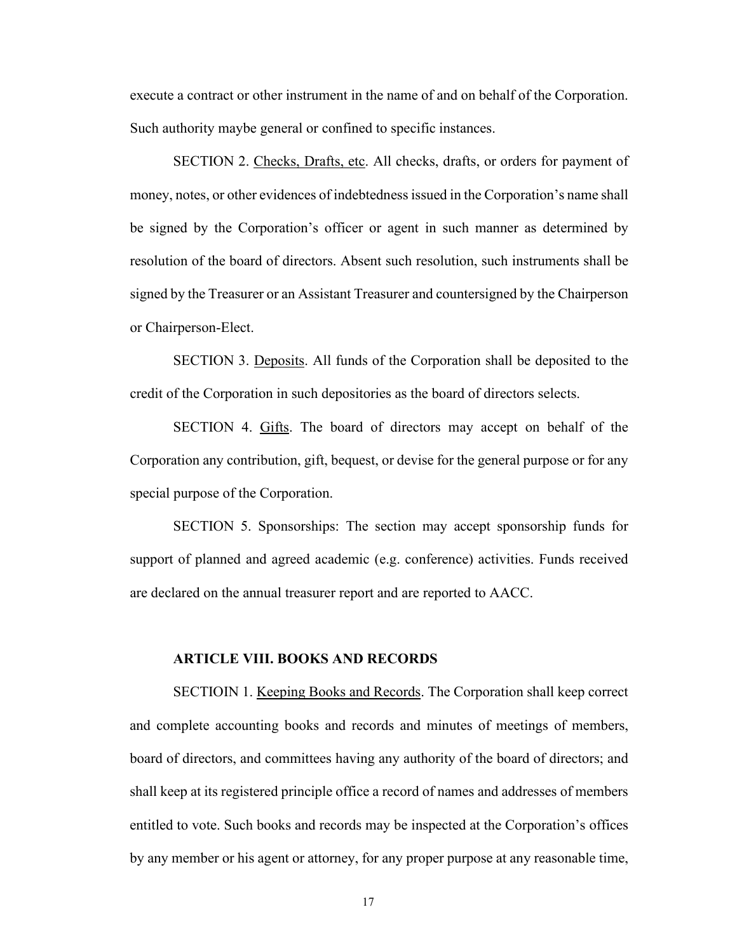execute a contract or other instrument in the name of and on behalf of the Corporation. Such authority maybe general or confined to specific instances.

SECTION 2. Checks, Drafts, etc. All checks, drafts, or orders for payment of money, notes, or other evidences of indebtedness issued in the Corporation's name shall be signed by the Corporation's officer or agent in such manner as determined by resolution of the board of directors. Absent such resolution, such instruments shall be signed by the Treasurer or an Assistant Treasurer and countersigned by the Chairperson or Chairperson-Elect.

SECTION 3. Deposits. All funds of the Corporation shall be deposited to the credit of the Corporation in such depositories as the board of directors selects.

SECTION 4. Gifts. The board of directors may accept on behalf of the Corporation any contribution, gift, bequest, or devise for the general purpose or for any special purpose of the Corporation.

SECTION 5. Sponsorships: The section may accept sponsorship funds for support of planned and agreed academic (e.g. conference) activities. Funds received are declared on the annual treasurer report and are reported to AACC.

#### **ARTICLE VIII. BOOKS AND RECORDS**

SECTIOIN 1. Keeping Books and Records. The Corporation shall keep correct and complete accounting books and records and minutes of meetings of members, board of directors, and committees having any authority of the board of directors; and shall keep at its registered principle office a record of names and addresses of members entitled to vote. Such books and records may be inspected at the Corporation's offices by any member or his agent or attorney, for any proper purpose at any reasonable time,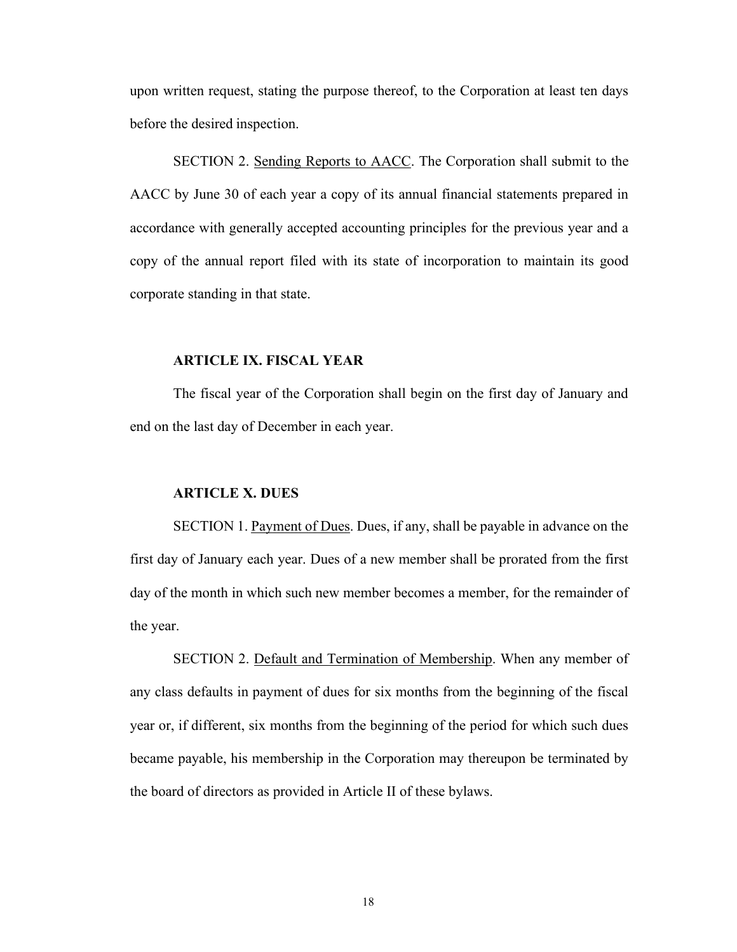upon written request, stating the purpose thereof, to the Corporation at least ten days before the desired inspection.

SECTION 2. Sending Reports to AACC. The Corporation shall submit to the AACC by June 30 of each year a copy of its annual financial statements prepared in accordance with generally accepted accounting principles for the previous year and a copy of the annual report filed with its state of incorporation to maintain its good corporate standing in that state.

## **ARTICLE IX. FISCAL YEAR**

The fiscal year of the Corporation shall begin on the first day of January and end on the last day of December in each year.

### **ARTICLE X. DUES**

SECTION 1. Payment of Dues. Dues, if any, shall be payable in advance on the first day of January each year. Dues of a new member shall be prorated from the first day of the month in which such new member becomes a member, for the remainder of the year.

SECTION 2. Default and Termination of Membership. When any member of any class defaults in payment of dues for six months from the beginning of the fiscal year or, if different, six months from the beginning of the period for which such dues became payable, his membership in the Corporation may thereupon be terminated by the board of directors as provided in Article II of these bylaws.